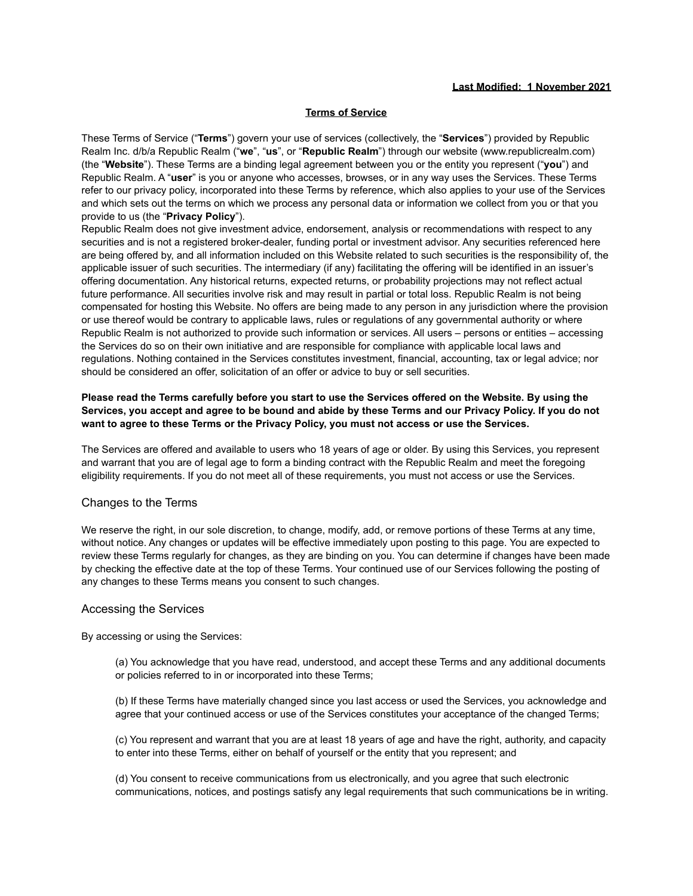#### **Last Modified: 1 November 2021**

#### **Terms of Service**

These Terms of Service ("**Terms**") govern your use of services (collectively, the "**Services**") provided by Republic Realm Inc. d/b/a Republic Realm ("**we**", "**us**", or "**Republic Realm**") through our website (www.republicrealm.com) (the "**Website**"). These Terms are a binding legal agreement between you or the entity you represent ("**you**") and Republic Realm. A "**user**" is you or anyone who accesses, browses, or in any way uses the Services. These Terms refer to our privacy policy, incorporated into these Terms by reference, which also applies to your use of the Services and which sets out the terms on which we process any personal data or information we collect from you or that you provide to us (the "**Privacy Policy**").

Republic Realm does not give investment advice, endorsement, analysis or recommendations with respect to any securities and is not a registered broker-dealer, funding portal or investment advisor. Any securities referenced here are being offered by, and all information included on this Website related to such securities is the responsibility of, the applicable issuer of such securities. The intermediary (if any) facilitating the offering will be identified in an issuer's offering documentation. Any historical returns, expected returns, or probability projections may not reflect actual future performance. All securities involve risk and may result in partial or total loss. Republic Realm is not being compensated for hosting this Website. No offers are being made to any person in any jurisdiction where the provision or use thereof would be contrary to applicable laws, rules or regulations of any governmental authority or where Republic Realm is not authorized to provide such information or services. All users – persons or entities – accessing the Services do so on their own initiative and are responsible for compliance with applicable local laws and regulations. Nothing contained in the Services constitutes investment, financial, accounting, tax or legal advice; nor should be considered an offer, solicitation of an offer or advice to buy or sell securities.

### **Please read the Terms carefully before you start to use the Services offered on the Website. By using the Services, you accept and agree to be bound and abide by these Terms and our Privacy Policy. If you do not want to agree to these Terms or the Privacy Policy, you must not access or use the Services.**

The Services are offered and available to users who 18 years of age or older. By using this Services, you represent and warrant that you are of legal age to form a binding contract with the Republic Realm and meet the foregoing eligibility requirements. If you do not meet all of these requirements, you must not access or use the Services.

### Changes to the Terms

We reserve the right, in our sole discretion, to change, modify, add, or remove portions of these Terms at any time, without notice. Any changes or updates will be effective immediately upon posting to this page. You are expected to review these Terms regularly for changes, as they are binding on you. You can determine if changes have been made by checking the effective date at the top of these Terms. Your continued use of our Services following the posting of any changes to these Terms means you consent to such changes.

#### Accessing the Services

By accessing or using the Services:

(a) You acknowledge that you have read, understood, and accept these Terms and any additional documents or policies referred to in or incorporated into these Terms;

(b) If these Terms have materially changed since you last access or used the Services, you acknowledge and agree that your continued access or use of the Services constitutes your acceptance of the changed Terms;

(c) You represent and warrant that you are at least 18 years of age and have the right, authority, and capacity to enter into these Terms, either on behalf of yourself or the entity that you represent; and

(d) You consent to receive communications from us electronically, and you agree that such electronic communications, notices, and postings satisfy any legal requirements that such communications be in writing.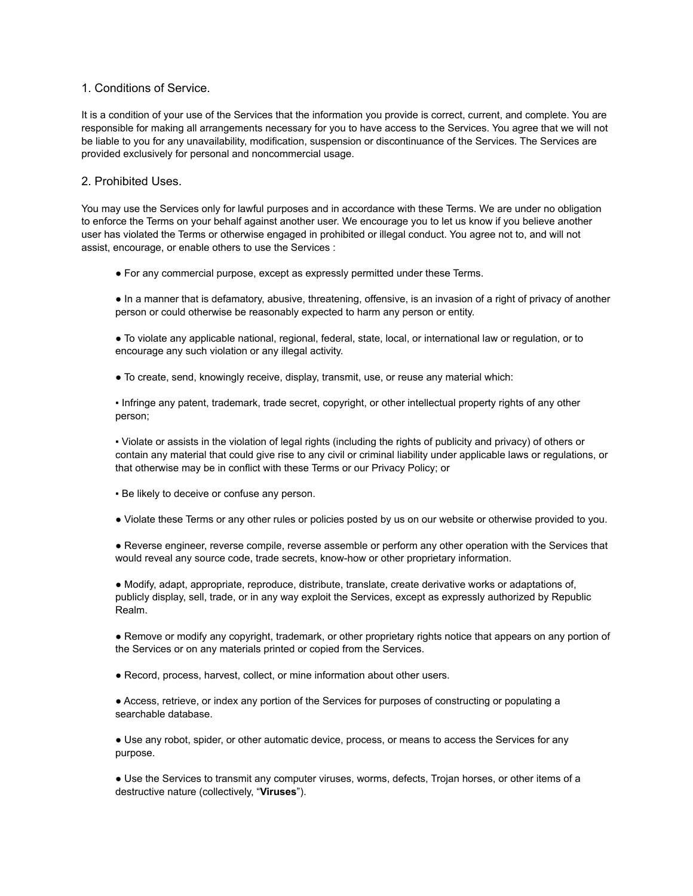#### 1. Conditions of Service.

It is a condition of your use of the Services that the information you provide is correct, current, and complete. You are responsible for making all arrangements necessary for you to have access to the Services. You agree that we will not be liable to you for any unavailability, modification, suspension or discontinuance of the Services. The Services are provided exclusively for personal and noncommercial usage.

#### 2. Prohibited Uses.

You may use the Services only for lawful purposes and in accordance with these Terms. We are under no obligation to enforce the Terms on your behalf against another user. We encourage you to let us know if you believe another user has violated the Terms or otherwise engaged in prohibited or illegal conduct. You agree not to, and will not assist, encourage, or enable others to use the Services :

● For any commercial purpose, except as expressly permitted under these Terms.

● In a manner that is defamatory, abusive, threatening, offensive, is an invasion of a right of privacy of another person or could otherwise be reasonably expected to harm any person or entity.

● To violate any applicable national, regional, federal, state, local, or international law or regulation, or to encourage any such violation or any illegal activity.

● To create, send, knowingly receive, display, transmit, use, or reuse any material which:

▪ Infringe any patent, trademark, trade secret, copyright, or other intellectual property rights of any other person;

▪ Violate or assists in the violation of legal rights (including the rights of publicity and privacy) of others or contain any material that could give rise to any civil or criminal liability under applicable laws or regulations, or that otherwise may be in conflict with these Terms or our Privacy Policy; or

**Be likely to deceive or confuse any person.** 

● Violate these Terms or any other rules or policies posted by us on our website or otherwise provided to you.

● Reverse engineer, reverse compile, reverse assemble or perform any other operation with the Services that would reveal any source code, trade secrets, know-how or other proprietary information.

● Modify, adapt, appropriate, reproduce, distribute, translate, create derivative works or adaptations of, publicly display, sell, trade, or in any way exploit the Services, except as expressly authorized by Republic Realm.

● Remove or modify any copyright, trademark, or other proprietary rights notice that appears on any portion of the Services or on any materials printed or copied from the Services.

• Record, process, harvest, collect, or mine information about other users.

● Access, retrieve, or index any portion of the Services for purposes of constructing or populating a searchable database.

● Use any robot, spider, or other automatic device, process, or means to access the Services for any purpose.

● Use the Services to transmit any computer viruses, worms, defects, Trojan horses, or other items of a destructive nature (collectively, "**Viruses**").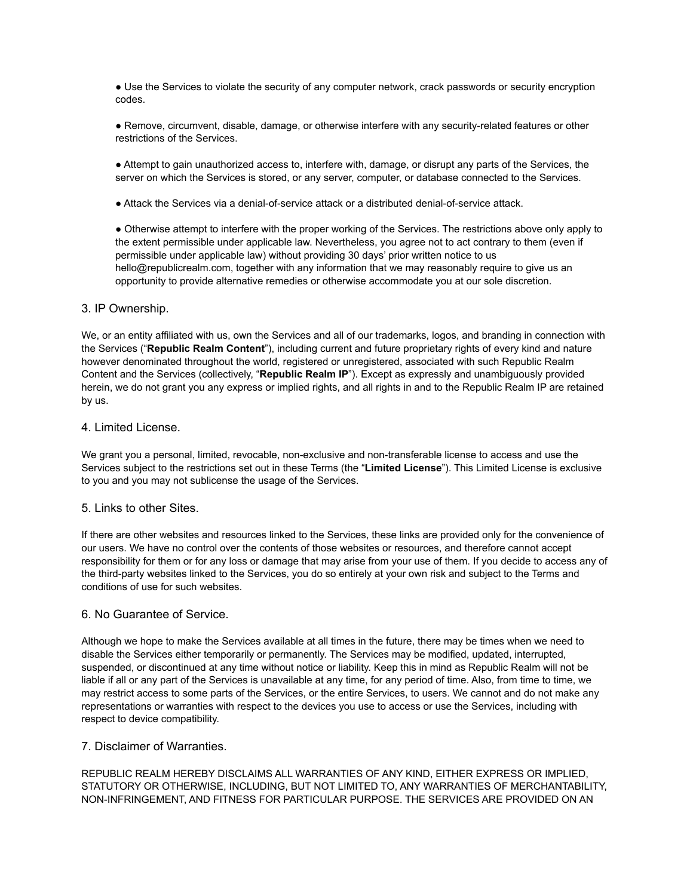• Use the Services to violate the security of any computer network, crack passwords or security encryption codes.

● Remove, circumvent, disable, damage, or otherwise interfere with any security-related features or other restrictions of the Services.

● Attempt to gain unauthorized access to, interfere with, damage, or disrupt any parts of the Services, the server on which the Services is stored, or any server, computer, or database connected to the Services.

● Attack the Services via a denial-of-service attack or a distributed denial-of-service attack.

● Otherwise attempt to interfere with the proper working of the Services. The restrictions above only apply to the extent permissible under applicable law. Nevertheless, you agree not to act contrary to them (even if permissible under applicable law) without providing 30 days' prior written notice to us hello@republicrealm.com, together with any information that we may reasonably require to give us an opportunity to provide alternative remedies or otherwise accommodate you at our sole discretion.

### 3. IP Ownership.

We, or an entity affiliated with us, own the Services and all of our trademarks, logos, and branding in connection with the Services ("**Republic Realm Content**"), including current and future proprietary rights of every kind and nature however denominated throughout the world, registered or unregistered, associated with such Republic Realm Content and the Services (collectively, "**Republic Realm IP**"). Except as expressly and unambiguously provided herein, we do not grant you any express or implied rights, and all rights in and to the Republic Realm IP are retained by us.

#### 4. Limited License.

We grant you a personal, limited, revocable, non-exclusive and non-transferable license to access and use the Services subject to the restrictions set out in these Terms (the "**Limited License**"). This Limited License is exclusive to you and you may not sublicense the usage of the Services.

### 5. Links to other Sites.

If there are other websites and resources linked to the Services, these links are provided only for the convenience of our users. We have no control over the contents of those websites or resources, and therefore cannot accept responsibility for them or for any loss or damage that may arise from your use of them. If you decide to access any of the third-party websites linked to the Services, you do so entirely at your own risk and subject to the Terms and conditions of use for such websites.

### 6. No Guarantee of Service.

Although we hope to make the Services available at all times in the future, there may be times when we need to disable the Services either temporarily or permanently. The Services may be modified, updated, interrupted, suspended, or discontinued at any time without notice or liability. Keep this in mind as Republic Realm will not be liable if all or any part of the Services is unavailable at any time, for any period of time. Also, from time to time, we may restrict access to some parts of the Services, or the entire Services, to users. We cannot and do not make any representations or warranties with respect to the devices you use to access or use the Services, including with respect to device compatibility.

# 7. Disclaimer of Warranties.

REPUBLIC REALM HEREBY DISCLAIMS ALL WARRANTIES OF ANY KIND, EITHER EXPRESS OR IMPLIED, STATUTORY OR OTHERWISE, INCLUDING, BUT NOT LIMITED TO, ANY WARRANTIES OF MERCHANTABILITY, NON-INFRINGEMENT, AND FITNESS FOR PARTICULAR PURPOSE. THE SERVICES ARE PROVIDED ON AN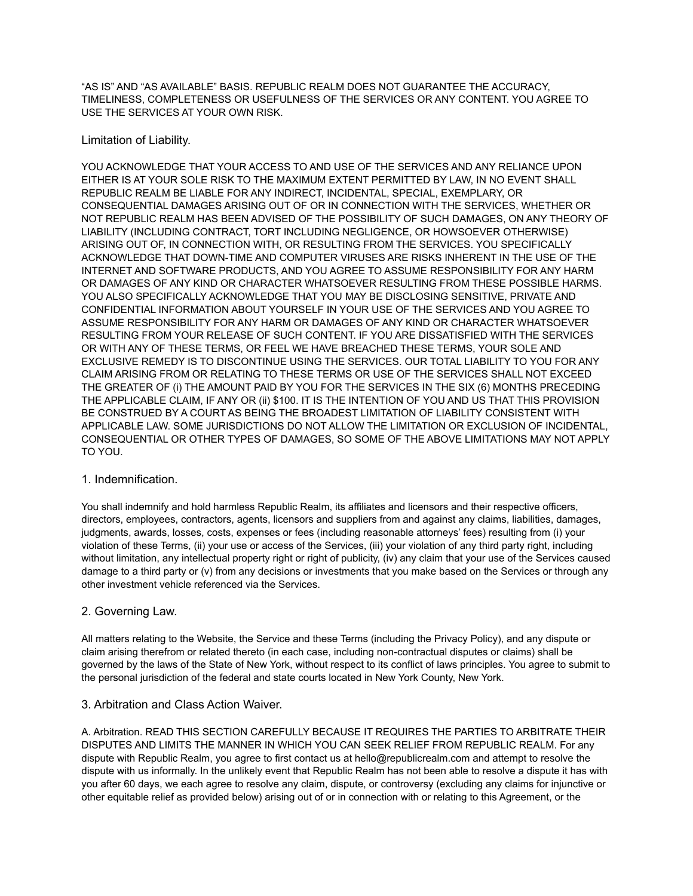"AS IS" AND "AS AVAILABLE" BASIS. REPUBLIC REALM DOES NOT GUARANTEE THE ACCURACY, TIMELINESS, COMPLETENESS OR USEFULNESS OF THE SERVICES OR ANY CONTENT. YOU AGREE TO USE THE SERVICES AT YOUR OWN RISK.

## Limitation of Liability.

YOU ACKNOWLEDGE THAT YOUR ACCESS TO AND USE OF THE SERVICES AND ANY RELIANCE UPON EITHER IS AT YOUR SOLE RISK TO THE MAXIMUM EXTENT PERMITTED BY LAW, IN NO EVENT SHALL REPUBLIC REALM BE LIABLE FOR ANY INDIRECT, INCIDENTAL, SPECIAL, EXEMPLARY, OR CONSEQUENTIAL DAMAGES ARISING OUT OF OR IN CONNECTION WITH THE SERVICES, WHETHER OR NOT REPUBLIC REALM HAS BEEN ADVISED OF THE POSSIBILITY OF SUCH DAMAGES, ON ANY THEORY OF LIABILITY (INCLUDING CONTRACT, TORT INCLUDING NEGLIGENCE, OR HOWSOEVER OTHERWISE) ARISING OUT OF, IN CONNECTION WITH, OR RESULTING FROM THE SERVICES. YOU SPECIFICALLY ACKNOWLEDGE THAT DOWN-TIME AND COMPUTER VIRUSES ARE RISKS INHERENT IN THE USE OF THE INTERNET AND SOFTWARE PRODUCTS, AND YOU AGREE TO ASSUME RESPONSIBILITY FOR ANY HARM OR DAMAGES OF ANY KIND OR CHARACTER WHATSOEVER RESULTING FROM THESE POSSIBLE HARMS. YOU ALSO SPECIFICALLY ACKNOWLEDGE THAT YOU MAY BE DISCLOSING SENSITIVE, PRIVATE AND CONFIDENTIAL INFORMATION ABOUT YOURSELF IN YOUR USE OF THE SERVICES AND YOU AGREE TO ASSUME RESPONSIBILITY FOR ANY HARM OR DAMAGES OF ANY KIND OR CHARACTER WHATSOEVER RESULTING FROM YOUR RELEASE OF SUCH CONTENT. IF YOU ARE DISSATISFIED WITH THE SERVICES OR WITH ANY OF THESE TERMS, OR FEEL WE HAVE BREACHED THESE TERMS, YOUR SOLE AND EXCLUSIVE REMEDY IS TO DISCONTINUE USING THE SERVICES. OUR TOTAL LIABILITY TO YOU FOR ANY CLAIM ARISING FROM OR RELATING TO THESE TERMS OR USE OF THE SERVICES SHALL NOT EXCEED THE GREATER OF (i) THE AMOUNT PAID BY YOU FOR THE SERVICES IN THE SIX (6) MONTHS PRECEDING THE APPLICABLE CLAIM, IF ANY OR (ii) \$100. IT IS THE INTENTION OF YOU AND US THAT THIS PROVISION BE CONSTRUED BY A COURT AS BEING THE BROADEST LIMITATION OF LIABILITY CONSISTENT WITH APPLICABLE LAW. SOME JURISDICTIONS DO NOT ALLOW THE LIMITATION OR EXCLUSION OF INCIDENTAL, CONSEQUENTIAL OR OTHER TYPES OF DAMAGES, SO SOME OF THE ABOVE LIMITATIONS MAY NOT APPLY TO YOU.

### 1. Indemnification.

You shall indemnify and hold harmless Republic Realm, its affiliates and licensors and their respective officers, directors, employees, contractors, agents, licensors and suppliers from and against any claims, liabilities, damages, judgments, awards, losses, costs, expenses or fees (including reasonable attorneys' fees) resulting from (i) your violation of these Terms, (ii) your use or access of the Services, (iii) your violation of any third party right, including without limitation, any intellectual property right or right of publicity, (iv) any claim that your use of the Services caused damage to a third party or (v) from any decisions or investments that you make based on the Services or through any other investment vehicle referenced via the Services.

### 2. Governing Law.

All matters relating to the Website, the Service and these Terms (including the Privacy Policy), and any dispute or claim arising therefrom or related thereto (in each case, including non-contractual disputes or claims) shall be governed by the laws of the State of New York, without respect to its conflict of laws principles. You agree to submit to the personal jurisdiction of the federal and state courts located in New York County, New York.

# 3. Arbitration and Class Action Waiver.

A. Arbitration. READ THIS SECTION CAREFULLY BECAUSE IT REQUIRES THE PARTIES TO ARBITRATE THEIR DISPUTES AND LIMITS THE MANNER IN WHICH YOU CAN SEEK RELIEF FROM REPUBLIC REALM. For any dispute with Republic Realm, you agree to first contact us at hello@republicrealm.com and attempt to resolve the dispute with us informally. In the unlikely event that Republic Realm has not been able to resolve a dispute it has with you after 60 days, we each agree to resolve any claim, dispute, or controversy (excluding any claims for injunctive or other equitable relief as provided below) arising out of or in connection with or relating to this Agreement, or the